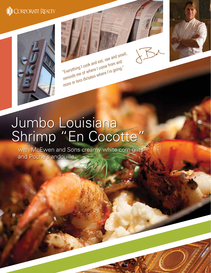## **ID** CORPORATE REALTY



"Everything I cook and eat, see and smell, reminds me of where I come from and more or less dictates where I'm going."



with McEwen and Sons creamy white corn grits and Poche's andouille